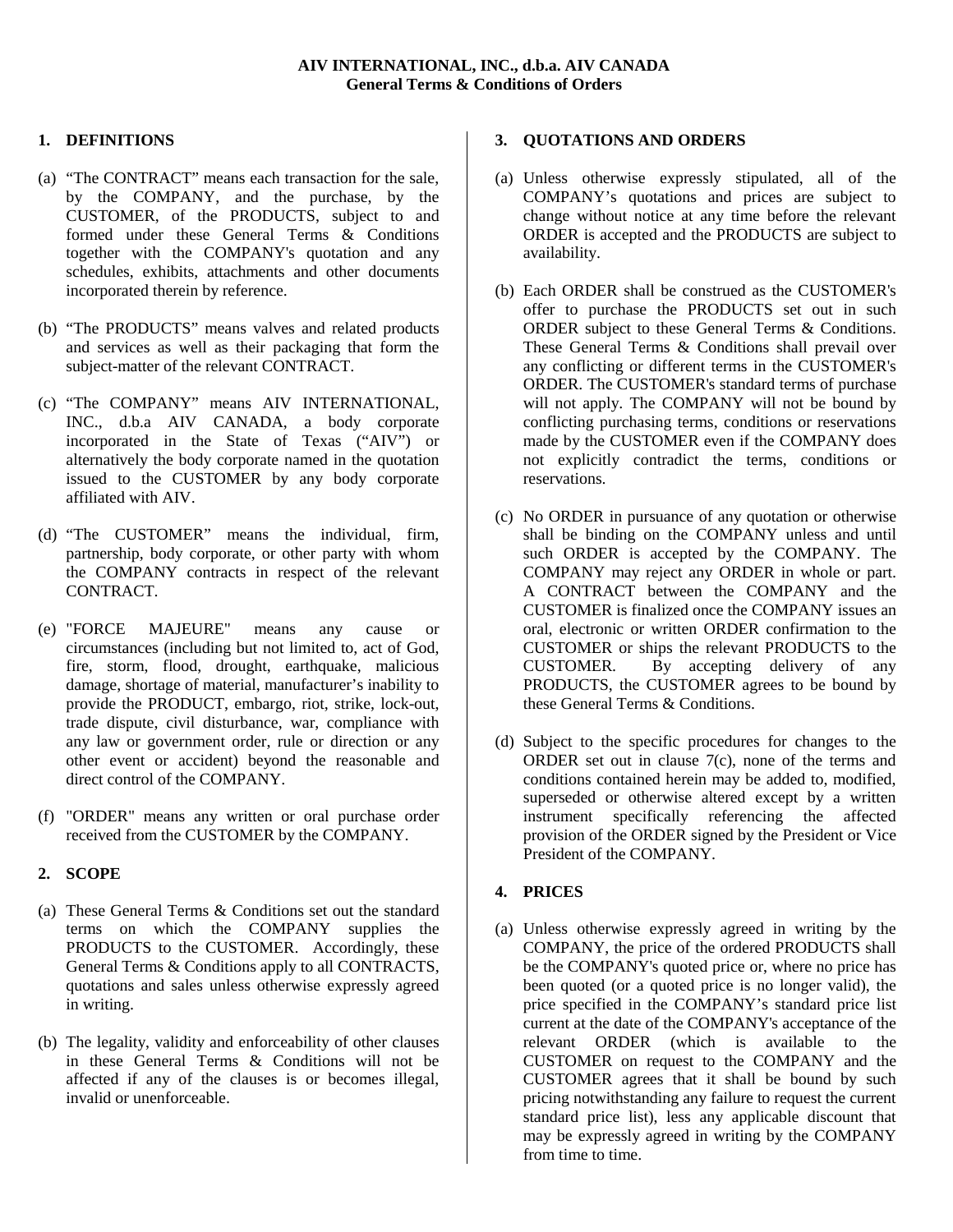## **1. DEFINITIONS**

- (a) "The CONTRACT" means each transaction for the sale, by the COMPANY, and the purchase, by the CUSTOMER, of the PRODUCTS, subject to and formed under these General Terms & Conditions together with the COMPANY's quotation and any schedules, exhibits, attachments and other documents incorporated therein by reference.
- (b) "The PRODUCTS" means valves and related products and services as well as their packaging that form the subject-matter of the relevant CONTRACT.
- (c) "The COMPANY" means AIV INTERNATIONAL, INC., d.b.a AIV CANADA, a body corporate incorporated in the State of Texas ("AIV") or alternatively the body corporate named in the quotation issued to the CUSTOMER by any body corporate affiliated with AIV.
- (d) "The CUSTOMER" means the individual, firm, partnership, body corporate, or other party with whom the COMPANY contracts in respect of the relevant CONTRACT.
- (e) "FORCE MAJEURE" means any cause or circumstances (including but not limited to, act of God, fire, storm, flood, drought, earthquake, malicious damage, shortage of material, manufacturer's inability to provide the PRODUCT, embargo, riot, strike, lock-out, trade dispute, civil disturbance, war, compliance with any law or government order, rule or direction or any other event or accident) beyond the reasonable and direct control of the COMPANY.
- (f) "ORDER" means any written or oral purchase order received from the CUSTOMER by the COMPANY.

# **2. SCOPE**

- (a) These General Terms & Conditions set out the standard terms on which the COMPANY supplies the PRODUCTS to the CUSTOMER. Accordingly, these General Terms & Conditions apply to all CONTRACTS, quotations and sales unless otherwise expressly agreed in writing.
- (b) The legality, validity and enforceability of other clauses in these General Terms & Conditions will not be affected if any of the clauses is or becomes illegal, invalid or unenforceable.

## **3. QUOTATIONS AND ORDERS**

- (a) Unless otherwise expressly stipulated, all of the COMPANY's quotations and prices are subject to change without notice at any time before the relevant ORDER is accepted and the PRODUCTS are subject to availability.
- (b) Each ORDER shall be construed as the CUSTOMER's offer to purchase the PRODUCTS set out in such ORDER subject to these General Terms & Conditions. These General Terms & Conditions shall prevail over any conflicting or different terms in the CUSTOMER's ORDER. The CUSTOMER's standard terms of purchase will not apply. The COMPANY will not be bound by conflicting purchasing terms, conditions or reservations made by the CUSTOMER even if the COMPANY does not explicitly contradict the terms, conditions or reservations.
- (c) No ORDER in pursuance of any quotation or otherwise shall be binding on the COMPANY unless and until such ORDER is accepted by the COMPANY. The COMPANY may reject any ORDER in whole or part. A CONTRACT between the COMPANY and the CUSTOMER is finalized once the COMPANY issues an oral, electronic or written ORDER confirmation to the CUSTOMER or ships the relevant PRODUCTS to the CUSTOMER. By accepting delivery of any PRODUCTS, the CUSTOMER agrees to be bound by these General Terms & Conditions.
- (d) Subject to the specific procedures for changes to the ORDER set out in clause 7(c), none of the terms and conditions contained herein may be added to, modified, superseded or otherwise altered except by a written instrument specifically referencing the affected provision of the ORDER signed by the President or Vice President of the COMPANY.

# **4. PRICES**

(a) Unless otherwise expressly agreed in writing by the COMPANY, the price of the ordered PRODUCTS shall be the COMPANY's quoted price or, where no price has been quoted (or a quoted price is no longer valid), the price specified in the COMPANY's standard price list current at the date of the COMPANY's acceptance of the relevant ORDER (which is available to the CUSTOMER on request to the COMPANY and the CUSTOMER agrees that it shall be bound by such pricing notwithstanding any failure to request the current standard price list), less any applicable discount that may be expressly agreed in writing by the COMPANY from time to time.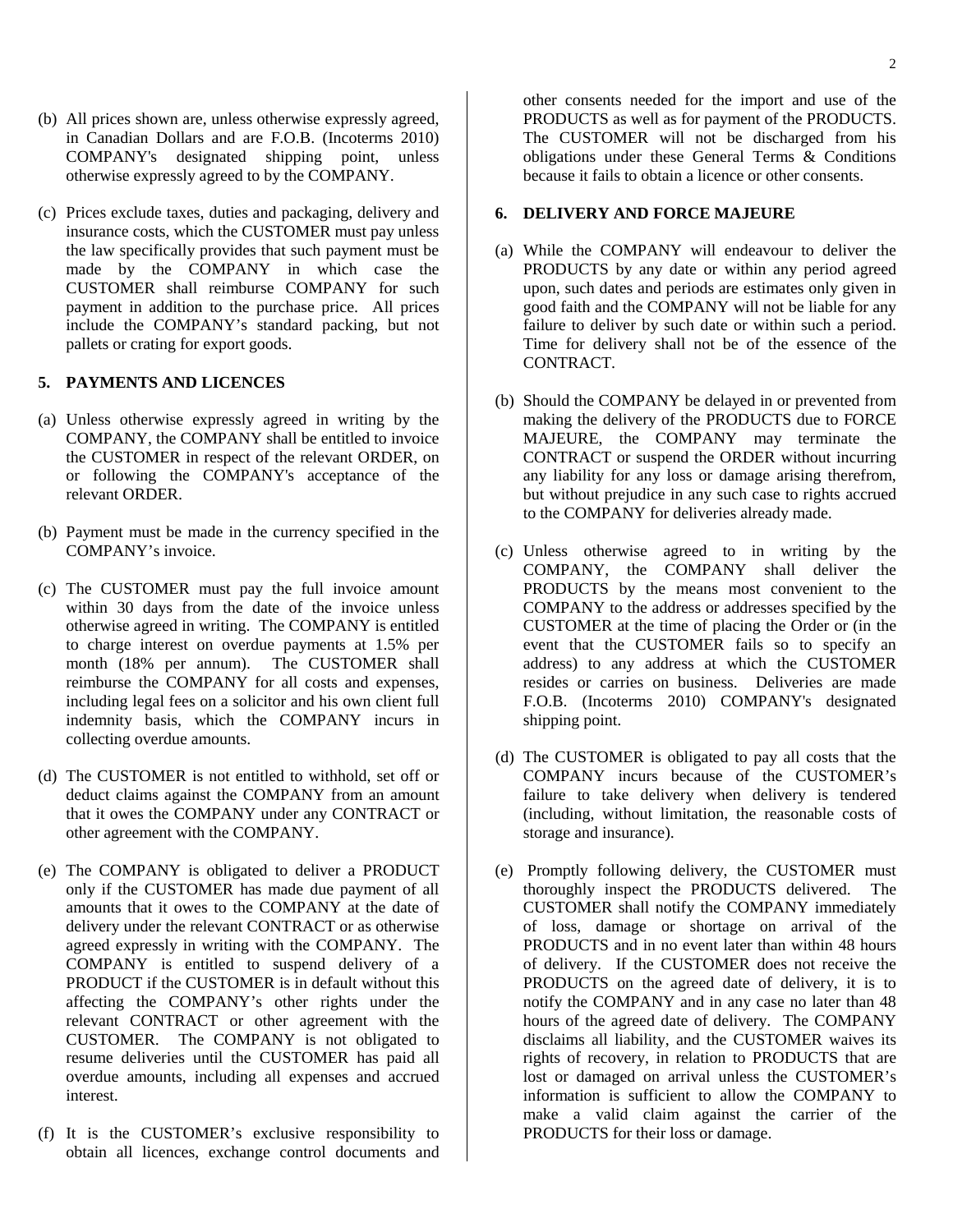- (b) All prices shown are, unless otherwise expressly agreed, in Canadian Dollars and are F.O.B. (Incoterms 2010) COMPANY's designated shipping point, unless otherwise expressly agreed to by the COMPANY.
- (c) Prices exclude taxes, duties and packaging, delivery and insurance costs, which the CUSTOMER must pay unless the law specifically provides that such payment must be made by the COMPANY in which case the CUSTOMER shall reimburse COMPANY for such payment in addition to the purchase price. All prices include the COMPANY's standard packing, but not pallets or crating for export goods.

### **5. PAYMENTS AND LICENCES**

- (a) Unless otherwise expressly agreed in writing by the COMPANY, the COMPANY shall be entitled to invoice the CUSTOMER in respect of the relevant ORDER, on or following the COMPANY's acceptance of the relevant ORDER.
- (b) Payment must be made in the currency specified in the COMPANY's invoice.
- (c) The CUSTOMER must pay the full invoice amount within 30 days from the date of the invoice unless otherwise agreed in writing. The COMPANY is entitled to charge interest on overdue payments at 1.5% per month (18% per annum). The CUSTOMER shall reimburse the COMPANY for all costs and expenses, including legal fees on a solicitor and his own client full indemnity basis, which the COMPANY incurs in collecting overdue amounts.
- (d) The CUSTOMER is not entitled to withhold, set off or deduct claims against the COMPANY from an amount that it owes the COMPANY under any CONTRACT or other agreement with the COMPANY.
- (e) The COMPANY is obligated to deliver a PRODUCT only if the CUSTOMER has made due payment of all amounts that it owes to the COMPANY at the date of delivery under the relevant CONTRACT or as otherwise agreed expressly in writing with the COMPANY. The COMPANY is entitled to suspend delivery of a PRODUCT if the CUSTOMER is in default without this affecting the COMPANY's other rights under the relevant CONTRACT or other agreement with the CUSTOMER. The COMPANY is not obligated to resume deliveries until the CUSTOMER has paid all overdue amounts, including all expenses and accrued interest.
- (f) It is the CUSTOMER's exclusive responsibility to obtain all licences, exchange control documents and

other consents needed for the import and use of the PRODUCTS as well as for payment of the PRODUCTS. The CUSTOMER will not be discharged from his obligations under these General Terms & Conditions because it fails to obtain a licence or other consents.

#### **6. DELIVERY AND FORCE MAJEURE**

- (a) While the COMPANY will endeavour to deliver the PRODUCTS by any date or within any period agreed upon, such dates and periods are estimates only given in good faith and the COMPANY will not be liable for any failure to deliver by such date or within such a period. Time for delivery shall not be of the essence of the CONTRACT.
- (b) Should the COMPANY be delayed in or prevented from making the delivery of the PRODUCTS due to FORCE MAJEURE, the COMPANY may terminate the CONTRACT or suspend the ORDER without incurring any liability for any loss or damage arising therefrom, but without prejudice in any such case to rights accrued to the COMPANY for deliveries already made.
- (c) Unless otherwise agreed to in writing by the COMPANY, the COMPANY shall deliver the PRODUCTS by the means most convenient to the COMPANY to the address or addresses specified by the CUSTOMER at the time of placing the Order or (in the event that the CUSTOMER fails so to specify an address) to any address at which the CUSTOMER resides or carries on business. Deliveries are made F.O.B. (Incoterms 2010) COMPANY's designated shipping point.
- (d) The CUSTOMER is obligated to pay all costs that the COMPANY incurs because of the CUSTOMER's failure to take delivery when delivery is tendered (including, without limitation, the reasonable costs of storage and insurance).
- (e) Promptly following delivery, the CUSTOMER must thoroughly inspect the PRODUCTS delivered. The CUSTOMER shall notify the COMPANY immediately of loss, damage or shortage on arrival of the PRODUCTS and in no event later than within 48 hours of delivery. If the CUSTOMER does not receive the PRODUCTS on the agreed date of delivery, it is to notify the COMPANY and in any case no later than 48 hours of the agreed date of delivery. The COMPANY disclaims all liability, and the CUSTOMER waives its rights of recovery, in relation to PRODUCTS that are lost or damaged on arrival unless the CUSTOMER's information is sufficient to allow the COMPANY to make a valid claim against the carrier of the PRODUCTS for their loss or damage.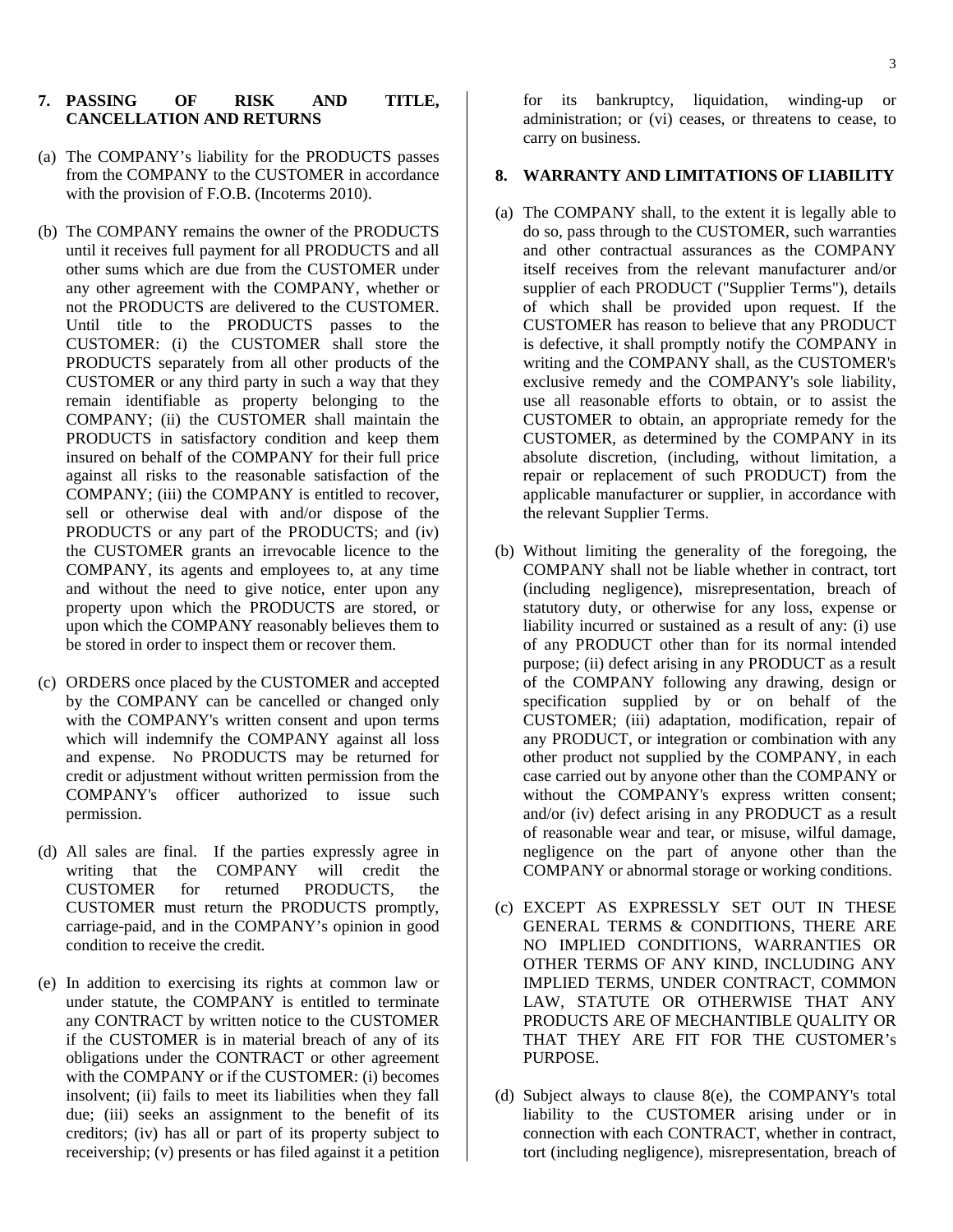#### **7. PASSING OF RISK AND TITLE, CANCELLATION AND RETURNS**

- (a) The COMPANY's liability for the PRODUCTS passes from the COMPANY to the CUSTOMER in accordance with the provision of F.O.B. (Incoterms 2010).
- (b) The COMPANY remains the owner of the PRODUCTS until it receives full payment for all PRODUCTS and all other sums which are due from the CUSTOMER under any other agreement with the COMPANY, whether or not the PRODUCTS are delivered to the CUSTOMER. Until title to the PRODUCTS passes to the CUSTOMER: (i) the CUSTOMER shall store the PRODUCTS separately from all other products of the CUSTOMER or any third party in such a way that they remain identifiable as property belonging to the COMPANY; (ii) the CUSTOMER shall maintain the PRODUCTS in satisfactory condition and keep them insured on behalf of the COMPANY for their full price against all risks to the reasonable satisfaction of the COMPANY; (iii) the COMPANY is entitled to recover, sell or otherwise deal with and/or dispose of the PRODUCTS or any part of the PRODUCTS; and (iv) the CUSTOMER grants an irrevocable licence to the COMPANY, its agents and employees to, at any time and without the need to give notice, enter upon any property upon which the PRODUCTS are stored, or upon which the COMPANY reasonably believes them to be stored in order to inspect them or recover them.
- (c) ORDERS once placed by the CUSTOMER and accepted by the COMPANY can be cancelled or changed only with the COMPANY's written consent and upon terms which will indemnify the COMPANY against all loss and expense. No PRODUCTS may be returned for credit or adjustment without written permission from the COMPANY's officer authorized to issue such permission.
- (d) All sales are final. If the parties expressly agree in writing that the COMPANY will credit the CUSTOMER for returned PRODUCTS, the CUSTOMER must return the PRODUCTS promptly, carriage-paid, and in the COMPANY's opinion in good condition to receive the credit.
- (e) In addition to exercising its rights at common law or under statute, the COMPANY is entitled to terminate any CONTRACT by written notice to the CUSTOMER if the CUSTOMER is in material breach of any of its obligations under the CONTRACT or other agreement with the COMPANY or if the CUSTOMER: (i) becomes insolvent; (ii) fails to meet its liabilities when they fall due; (iii) seeks an assignment to the benefit of its creditors; (iv) has all or part of its property subject to receivership; (v) presents or has filed against it a petition

for its bankruptcy, liquidation, winding-up or administration; or (vi) ceases, or threatens to cease, to carry on business.

## **8. WARRANTY AND LIMITATIONS OF LIABILITY**

- (a) The COMPANY shall, to the extent it is legally able to do so, pass through to the CUSTOMER, such warranties and other contractual assurances as the COMPANY itself receives from the relevant manufacturer and/or supplier of each PRODUCT ("Supplier Terms"), details of which shall be provided upon request. If the CUSTOMER has reason to believe that any PRODUCT is defective, it shall promptly notify the COMPANY in writing and the COMPANY shall, as the CUSTOMER's exclusive remedy and the COMPANY's sole liability, use all reasonable efforts to obtain, or to assist the CUSTOMER to obtain, an appropriate remedy for the CUSTOMER, as determined by the COMPANY in its absolute discretion, (including, without limitation, a repair or replacement of such PRODUCT) from the applicable manufacturer or supplier, in accordance with the relevant Supplier Terms.
- (b) Without limiting the generality of the foregoing, the COMPANY shall not be liable whether in contract, tort (including negligence), misrepresentation, breach of statutory duty, or otherwise for any loss, expense or liability incurred or sustained as a result of any: (i) use of any PRODUCT other than for its normal intended purpose; (ii) defect arising in any PRODUCT as a result of the COMPANY following any drawing, design or specification supplied by or on behalf of the CUSTOMER; (iii) adaptation, modification, repair of any PRODUCT, or integration or combination with any other product not supplied by the COMPANY, in each case carried out by anyone other than the COMPANY or without the COMPANY's express written consent; and/or (iv) defect arising in any PRODUCT as a result of reasonable wear and tear, or misuse, wilful damage, negligence on the part of anyone other than the COMPANY or abnormal storage or working conditions.
- (c) EXCEPT AS EXPRESSLY SET OUT IN THESE GENERAL TERMS & CONDITIONS, THERE ARE NO IMPLIED CONDITIONS, WARRANTIES OR OTHER TERMS OF ANY KIND, INCLUDING ANY IMPLIED TERMS, UNDER CONTRACT, COMMON LAW, STATUTE OR OTHERWISE THAT ANY PRODUCTS ARE OF MECHANTIBLE QUALITY OR THAT THEY ARE FIT FOR THE CUSTOMER's PURPOSE.
- (d) Subject always to clause 8(e), the COMPANY's total liability to the CUSTOMER arising under or in connection with each CONTRACT, whether in contract, tort (including negligence), misrepresentation, breach of